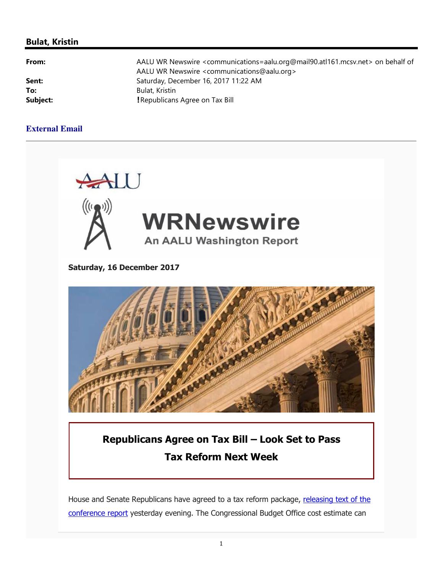### **Bulat, Kristin**

| .     |  |
|-------|--|
|       |  |
| Sent: |  |
| To:   |  |
|       |  |

**From:** AALU WR Newswire <communications=aalu.org@mail90.atl161.mcsv.net> on behalf of AALU WR Newswire <communications@aalu.org> **Sent:** Saturday, December 16, 2017 11:22 AM **To:** Bulat, Kristin **Subject: Subject: Property: Property: Property: Property:**  $\blacksquare$  **Republicans Agree on Tax Bill** 

### **External Email**



House and Senate Republicans have agreed to a tax reform package, releasing text of the conference report yesterday evening. The Congressional Budget Office cost estimate can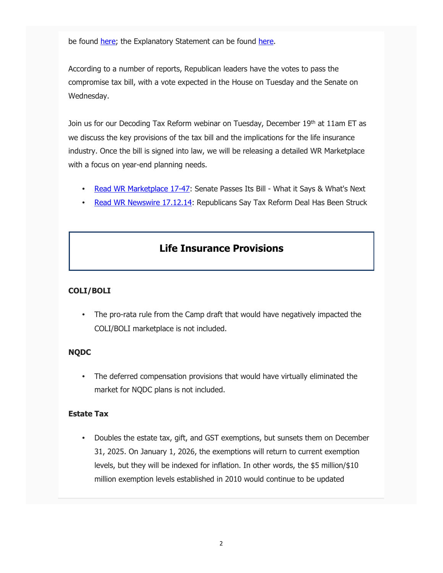be found here; the Explanatory Statement can be found here.

According to a number of reports, Republican leaders have the votes to pass the compromise tax bill, with a vote expected in the House on Tuesday and the Senate on Wednesday.

Join us for our Decoding Tax Reform webinar on Tuesday, December 19th at 11am ET as we discuss the key provisions of the tax bill and the implications for the life insurance industry. Once the bill is signed into law, we will be releasing a detailed WR Marketplace with a focus on year-end planning needs.

- Read WR Marketplace 17-47: Senate Passes Its Bill What it Says & What's Next
- Read WR Newswire 17.12.14: Republicans Say Tax Reform Deal Has Been Struck

# **Life Insurance Provisions**

### **COLI/BOLI**

The pro-rata rule from the Camp draft that would have negatively impacted the COLI/BOLI marketplace is not included.

### **NQDC**

• The deferred compensation provisions that would have virtually eliminated the market for NQDC plans is not included.

### **Estate Tax**

• Doubles the estate tax, gift, and GST exemptions, but sunsets them on December 31, 2025. On January 1, 2026, the exemptions will return to current exemption levels, but they will be indexed for inflation. In other words, the \$5 million/\$10 million exemption levels established in 2010 would continue to be updated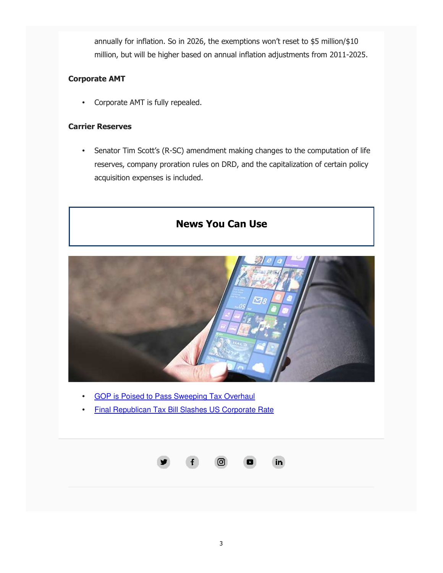annually for inflation. So in 2026, the exemptions won't reset to \$5 million/\$10 million, but will be higher based on annual inflation adjustments from 2011-2025.

## **Corporate AMT**

• Corporate AMT is fully repealed.

#### **Carrier Reserves**

• Senator Tim Scott's (R-SC) amendment making changes to the computation of life reserves, company proration rules on DRD, and the capitalization of certain policy acquisition expenses is included.



- GOP is Poised to Pass Sweeping Tax Overhaul
- Final Republican Tax Bill Slashes US Corporate Rate